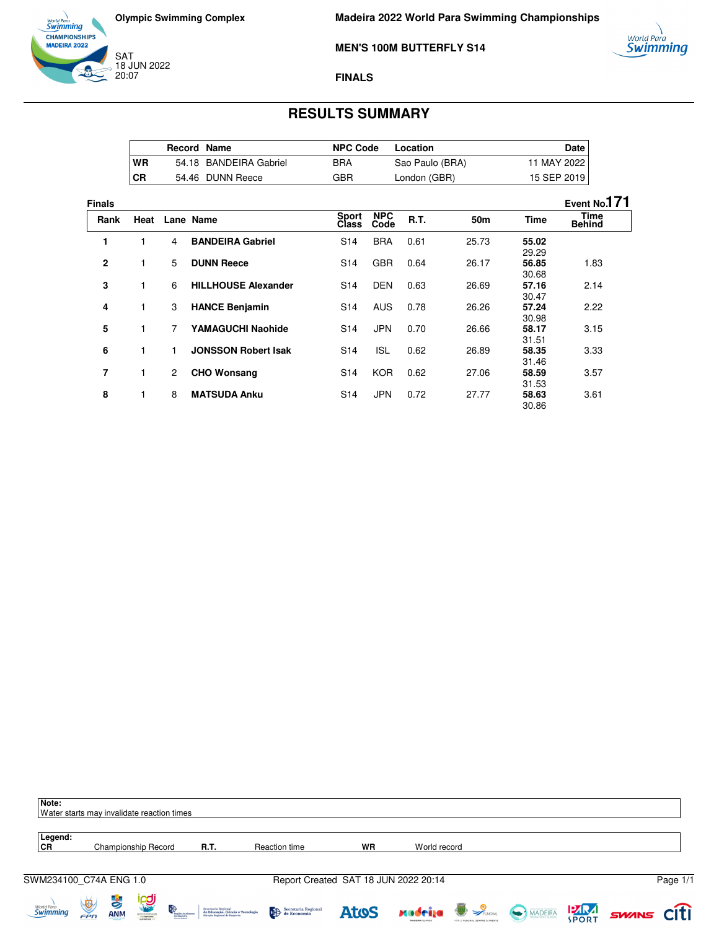



**Madeira 2022 World Para Swimming Championships**

**MEN'S 100M BUTTERFLY S14**



## **FINALS**

## **RESULTS SUMMARY**

|      | <b>Record Name</b> |                        | <b>NPC Code</b> | Location        | Date l      |
|------|--------------------|------------------------|-----------------|-----------------|-------------|
| WR   |                    | 54.18 BANDEIRA Gabriel | BRA             | Sao Paulo (BRA) | 11 MAY 2022 |
| l CR |                    | 54.46 DUNN Reece       | GBR             | London (GBR)    | 15 SEP 2019 |

| <b>Finals</b> |      |                |                            |                       |                    |             |                 |                | Event No.171                 |
|---------------|------|----------------|----------------------------|-----------------------|--------------------|-------------|-----------------|----------------|------------------------------|
| Rank          | Heat |                | Lane Name                  | <b>Sport</b><br>Class | <b>NPC</b><br>Code | <b>R.T.</b> | 50 <sub>m</sub> | Time           | <b>Time</b><br><b>Behind</b> |
| 1             | 1    | 4              | <b>BANDEIRA Gabriel</b>    | S <sub>14</sub>       | <b>BRA</b>         | 0.61        | 25.73           | 55.02<br>29.29 |                              |
| $\mathbf{2}$  | 1    | 5              | <b>DUNN Reece</b>          | S <sub>14</sub>       | <b>GBR</b>         | 0.64        | 26.17           | 56.85<br>30.68 | 1.83                         |
| 3             | 1    | 6              | <b>HILLHOUSE Alexander</b> | S <sub>14</sub>       | <b>DEN</b>         | 0.63        | 26.69           | 57.16<br>30.47 | 2.14                         |
| 4             | 1    | 3              | <b>HANCE Benjamin</b>      | S <sub>14</sub>       | <b>AUS</b>         | 0.78        | 26.26           | 57.24<br>30.98 | 2.22                         |
| 5             | 1    | 7              | <b>YAMAGUCHI Naohide</b>   | S <sub>14</sub>       | <b>JPN</b>         | 0.70        | 26.66           | 58.17<br>31.51 | 3.15                         |
| 6             | 1    | 1              | <b>JONSSON Robert Isak</b> | S <sub>14</sub>       | <b>ISL</b>         | 0.62        | 26.89           | 58.35<br>31.46 | 3.33                         |
| 7             | 1    | $\overline{2}$ | <b>CHO Wonsang</b>         | S <sub>14</sub>       | <b>KOR</b>         | 0.62        | 27.06           | 58.59<br>31.53 | 3.57                         |
| 8             | 1    | 8              | <b>MATSUDA Anku</b>        | S <sub>14</sub>       | <b>JPN</b>         | 0.72        | 27.77           | 58.63<br>30.86 | 3.61                         |

| Note:<br>Water starts may invalidate reaction times |                   |                 |                                                   |                                   |                                                                                          |                                                                                                                                                                                                                                                                                                                                                                                                                                                                |                                      |                                   |                                                    |             |              |       |          |
|-----------------------------------------------------|-------------------|-----------------|---------------------------------------------------|-----------------------------------|------------------------------------------------------------------------------------------|----------------------------------------------------------------------------------------------------------------------------------------------------------------------------------------------------------------------------------------------------------------------------------------------------------------------------------------------------------------------------------------------------------------------------------------------------------------|--------------------------------------|-----------------------------------|----------------------------------------------------|-------------|--------------|-------|----------|
| Legend:<br>CR                                       |                   |                 | Championship Record                               |                                   | R.T.                                                                                     | Reaction time                                                                                                                                                                                                                                                                                                                                                                                                                                                  | <b>WR</b>                            | World record                      |                                                    |             |              |       |          |
| SWM234100_C74A ENG 1.0                              |                   |                 |                                                   |                                   |                                                                                          |                                                                                                                                                                                                                                                                                                                                                                                                                                                                | Report Created SAT 18 JUN 2022 20:14 |                                   |                                                    |             |              |       | Page 1/1 |
| World Para<br><b>Swimming</b>                       | $\bigcirc$<br>FPN | 子<br><b>ANM</b> | <b><u>ng</u></b><br>STEVEO PORTUGAL<br>OTORINATIO | 晚<br>Região Autónom<br>da Madeira | Secretaria Regional<br>de Educação, Ciência e Tecnologia<br>Direção Regional de Desporto | $\begin{tabular}{ c c } \hline \end{tabular} \begin{tabular}{ c c } \hline Speculation & \end{tabular} \begin{tabular}{ c c c } \hline \end{tabular} \begin{tabular}{ c c c } \hline \end{tabular} \begin{tabular}{ c c c } \hline \end{tabular} \begin{tabular}{ c c c c } \hline \end{tabular} \begin{tabular}{ c c c c } \hline \end{tabular} \begin{tabular}{ c c c c } \hline \end{tabular} \begin{tabular}{ c c c c c } \hline \end{tabular} \begin{tab$ | <b>Atos</b>                          | xadrija<br><b>MADEIRA ISLANDS</b> | <b>B</b> SPUNCHAL<br>FOR O FUNCHAL SEMPRE & FRENTS | MADEIRA PRA | <b>SPORT</b> | SWANS | citi     |